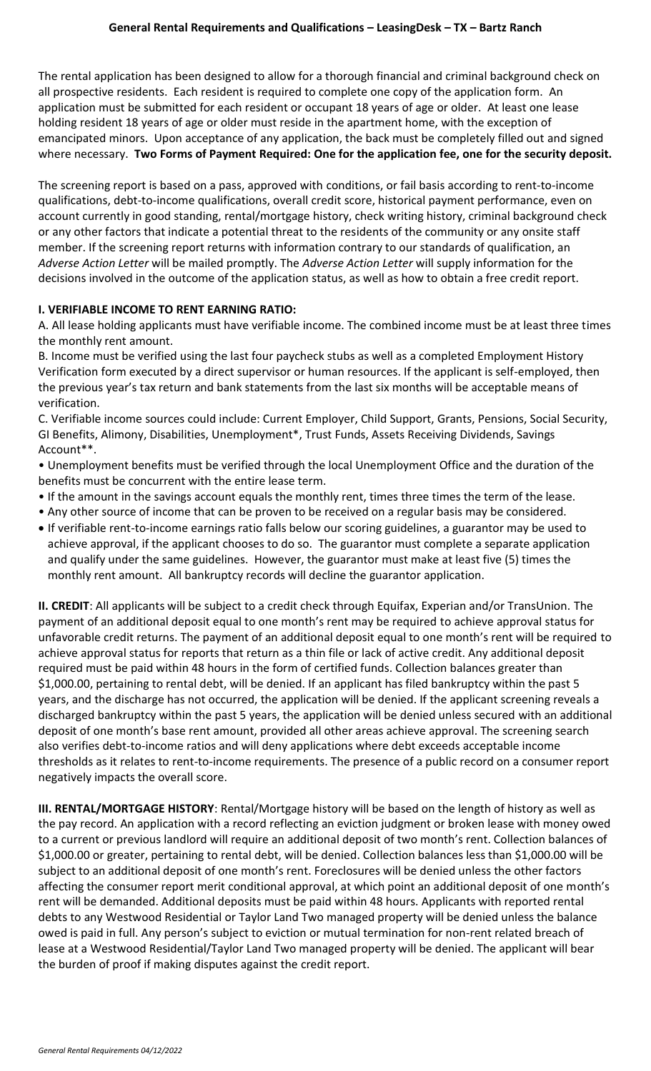The rental application has been designed to allow for a thorough financial and criminal background check on all prospective residents. Each resident is required to complete one copy of the application form. An application must be submitted for each resident or occupant 18 years of age or older. At least one lease holding resident 18 years of age or older must reside in the apartment home, with the exception of emancipated minors. Upon acceptance of any application, the back must be completely filled out and signed where necessary. **Two Forms of Payment Required: One for the application fee, one for the security deposit.**

The screening report is based on a pass, approved with conditions, or fail basis according to rent-to-income qualifications, debt-to-income qualifications, overall credit score, historical payment performance, even on account currently in good standing, rental/mortgage history, check writing history, criminal background check or any other factors that indicate a potential threat to the residents of the community or any onsite staff member. If the screening report returns with information contrary to our standards of qualification, an *Adverse Action Letter* will be mailed promptly. The *Adverse Action Letter* will supply information for the decisions involved in the outcome of the application status, as well as how to obtain a free credit report.

#### **I. VERIFIABLE INCOME TO RENT EARNING RATIO:**

A. All lease holding applicants must have verifiable income. The combined income must be at least three times the monthly rent amount.

B. Income must be verified using the last four paycheck stubs as well as a completed Employment History Verification form executed by a direct supervisor or human resources. If the applicant is self-employed, then the previous year's tax return and bank statements from the last six months will be acceptable means of verification.

C. Verifiable income sources could include: Current Employer, Child Support, Grants, Pensions, Social Security, GI Benefits, Alimony, Disabilities, Unemployment\*, Trust Funds, Assets Receiving Dividends, Savings Account\*\*.

• Unemployment benefits must be verified through the local Unemployment Office and the duration of the benefits must be concurrent with the entire lease term.

- If the amount in the savings account equals the monthly rent, times three times the term of the lease.
- Any other source of income that can be proven to be received on a regular basis may be considered.
- If verifiable rent-to-income earnings ratio falls below our scoring guidelines, a guarantor may be used to achieve approval, if the applicant chooses to do so. The guarantor must complete a separate application and qualify under the same guidelines. However, the guarantor must make at least five (5) times the monthly rent amount. All bankruptcy records will decline the guarantor application.

**II. CREDIT**: All applicants will be subject to a credit check through Equifax, Experian and/or TransUnion. The payment of an additional deposit equal to one month's rent may be required to achieve approval status for unfavorable credit returns. The payment of an additional deposit equal to one month's rent will be required to achieve approval status for reports that return as a thin file or lack of active credit. Any additional deposit required must be paid within 48 hours in the form of certified funds. Collection balances greater than \$1,000.00, pertaining to rental debt, will be denied. If an applicant has filed bankruptcy within the past 5 years, and the discharge has not occurred, the application will be denied. If the applicant screening reveals a discharged bankruptcy within the past 5 years, the application will be denied unless secured with an additional deposit of one month's base rent amount, provided all other areas achieve approval. The screening search also verifies debt-to-income ratios and will deny applications where debt exceeds acceptable income thresholds as it relates to rent-to-income requirements. The presence of a public record on a consumer report negatively impacts the overall score.

**III. RENTAL/MORTGAGE HISTORY**: Rental/Mortgage history will be based on the length of history as well as the pay record. An application with a record reflecting an eviction judgment or broken lease with money owed to a current or previous landlord will require an additional deposit of two month's rent. Collection balances of \$1,000.00 or greater, pertaining to rental debt, will be denied. Collection balances less than \$1,000.00 will be subject to an additional deposit of one month's rent. Foreclosures will be denied unless the other factors affecting the consumer report merit conditional approval, at which point an additional deposit of one month's rent will be demanded. Additional deposits must be paid within 48 hours. Applicants with reported rental debts to any Westwood Residential or Taylor Land Two managed property will be denied unless the balance owed is paid in full. Any person's subject to eviction or mutual termination for non-rent related breach of lease at a Westwood Residential/Taylor Land Two managed property will be denied. The applicant will bear the burden of proof if making disputes against the credit report.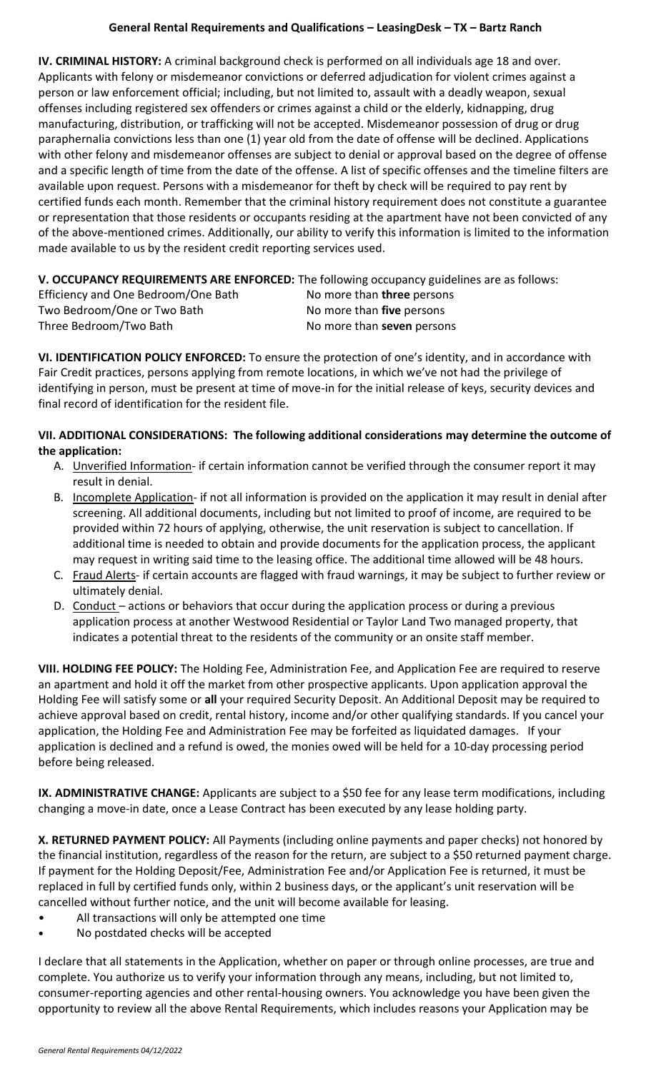## **General Rental Requirements and Qualifications – LeasingDesk – TX – Bartz Ranch**

**IV. CRIMINAL HISTORY:** A criminal background check is performed on all individuals age 18 and over. Applicants with felony or misdemeanor convictions or deferred adjudication for violent crimes against a person or law enforcement official; including, but not limited to, assault with a deadly weapon, sexual offenses including registered sex offenders or crimes against a child or the elderly, kidnapping, drug manufacturing, distribution, or trafficking will not be accepted. Misdemeanor possession of drug or drug paraphernalia convictions less than one (1) year old from the date of offense will be declined. Applications with other felony and misdemeanor offenses are subject to denial or approval based on the degree of offense and a specific length of time from the date of the offense. A list of specific offenses and the timeline filters are available upon request. Persons with a misdemeanor for theft by check will be required to pay rent by certified funds each month. Remember that the criminal history requirement does not constitute a guarantee or representation that those residents or occupants residing at the apartment have not been convicted of any of the above-mentioned crimes. Additionally, our ability to verify this information is limited to the information made available to us by the resident credit reporting services used.

# **V. OCCUPANCY REQUIREMENTS ARE ENFORCED:** The following occupancy guidelines are as follows:

| Efficiency and One Bedroom/One Bath | No more than three persons |
|-------------------------------------|----------------------------|
| Two Bedroom/One or Two Bath         | No more than five persons  |
| Three Bedroom/Two Bath              | No more than seven persons |

**VI. IDENTIFICATION POLICY ENFORCED:** To ensure the protection of one's identity, and in accordance with Fair Credit practices, persons applying from remote locations, in which we've not had the privilege of identifying in person, must be present at time of move-in for the initial release of keys, security devices and final record of identification for the resident file.

## **VII. ADDITIONAL CONSIDERATIONS: The following additional considerations may determine the outcome of the application:**

- A. Unverified Information- if certain information cannot be verified through the consumer report it may result in denial.
- B. Incomplete Application- if not all information is provided on the application it may result in denial after screening. All additional documents, including but not limited to proof of income, are required to be provided within 72 hours of applying, otherwise, the unit reservation is subject to cancellation. If additional time is needed to obtain and provide documents for the application process, the applicant may request in writing said time to the leasing office. The additional time allowed will be 48 hours.
- C. Fraud Alerts- if certain accounts are flagged with fraud warnings, it may be subject to further review or ultimately denial.
- D. Conduct actions or behaviors that occur during the application process or during a previous application process at another Westwood Residential or Taylor Land Two managed property, that indicates a potential threat to the residents of the community or an onsite staff member.

**VIII. HOLDING FEE POLICY:** The Holding Fee, Administration Fee, and Application Fee are required to reserve an apartment and hold it off the market from other prospective applicants. Upon application approval the Holding Fee will satisfy some or **all** your required Security Deposit. An Additional Deposit may be required to achieve approval based on credit, rental history, income and/or other qualifying standards. If you cancel your application, the Holding Fee and Administration Fee may be forfeited as liquidated damages. If your application is declined and a refund is owed, the monies owed will be held for a 10-day processing period before being released.

**IX. ADMINISTRATIVE CHANGE:** Applicants are subject to a \$50 fee for any lease term modifications, including changing a move-in date, once a Lease Contract has been executed by any lease holding party.

**X. RETURNED PAYMENT POLICY:** All Payments (including online payments and paper checks) not honored by the financial institution, regardless of the reason for the return, are subject to a \$50 returned payment charge. If payment for the Holding Deposit/Fee, Administration Fee and/or Application Fee is returned, it must be replaced in full by certified funds only, within 2 business days, or the applicant's unit reservation will be cancelled without further notice, and the unit will become available for leasing.

- All transactions will only be attempted one time
- **•** No postdated checks will be accepted

I declare that all statements in the Application, whether on paper or through online processes, are true and complete. You authorize us to verify your information through any means, including, but not limited to, consumer-reporting agencies and other rental-housing owners. You acknowledge you have been given the opportunity to review all the above Rental Requirements, which includes reasons your Application may be